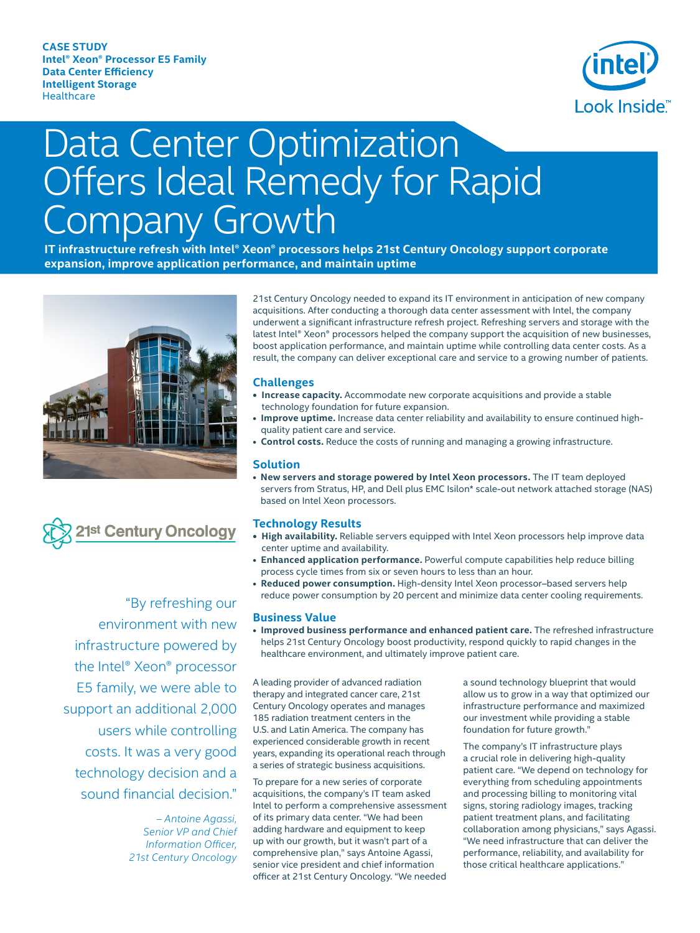

# Data Center Optimization Offers Ideal Remedy for Rapid Company Growth

**IT infrastructure refresh with Intel® Xeon® processors helps 21st Century Oncology support corporate expansion, improve application performance, and maintain uptime** 





 "By refreshing our environment with new infrastructure powered by the Intel® Xeon® processor E5 family, we were able to support an additional 2,000 users while controlling costs. It was a very good technology decision and a sound financial decision."

> *– Antoine Agassi, Senior VP and Chief Information Officer,*  $21$ st Century Oncology

21st Century Oncology needed to expand its IT environment in anticipation of new company acquisitions. After conducting a thorough data center assessment with Intel, the company underwent a significant infrastructure refresh project. Refreshing servers and storage with the latest Intel® Xeon® processors helped the company support the acquisition of new businesses, boost application performance, and maintain uptime while controlling data center costs. As a result, the company can deliver exceptional care and service to a growing number of patients.

## **Challenges**

- **Increase capacity.** Accommodate new corporate acquisitions and provide a stable technology foundation for future expansion.
- **Improve uptime.** Increase data center reliability and availability to ensure continued highquality patient care and service.
- Control costs. Reduce the costs of running and managing a growing infrastructure.

#### **Solution**

**• New servers and storage powered by Intel Xeon processors.** The IT team deployed servers from Stratus, HP, and Dell plus EMC Isilon\* scale-out network attached storage (NAS) based on Intel Xeon processors.

#### **Technology Results**

- High availability. Reliable servers equipped with Intel Xeon processors help improve data center uptime and availability.
- **Enhanced application performance.** Powerful compute capabilities help reduce billing process cycle times from six or seven hours to less than an hour.
- **Reduced power consumption.** High-density Intel Xeon processor–based servers help reduce power consumption by 20 percent and minimize data center cooling requirements.

#### **Business Value**

**• Improved business performance and enhanced patient care.** The refreshed infrastructure helps 21st Century Oncology boost productivity, respond quickly to rapid changes in the healthcare environment, and ultimately improve patient care.

A leading provider of advanced radiation therapy and integrated cancer care, 21st Century Oncology operates and manages 185 radiation treatment centers in the U.S. and Latin America. The company has experienced considerable growth in recent years, expanding its operational reach through a series of strategic business acquisitions.

To prepare for a new series of corporate acquisitions, the company's IT team asked Intel to perform a comprehensive assessment of its primary data center. "We had been adding hardware and equipment to keep up with our growth, but it wasn't part of a comprehensive plan," says Antoine Agassi, senior vice president and chief information officer at 21st Century Oncology. "We needed

a sound technology blueprint that would allow us to grow in a way that optimized our infrastructure performance and maximized our investment while providing a stable foundation for future growth."

The company's IT infrastructure plays a crucial role in delivering high-quality patient care. "We depend on technology for everything from scheduling appointments and processing billing to monitoring vital signs, storing radiology images, tracking patient treatment plans, and facilitating collaboration among physicians," says Agassi. "We need infrastructure that can deliver the performance, reliability, and availability for those critical healthcare applications."